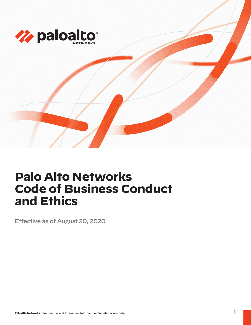

# **Palo Alto Networks Code of Business Conduct and Ethics**

Effective as of August 20, 2020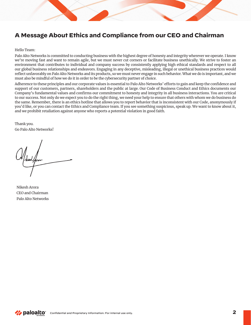# **A Message About Ethics and Compliance from our CEO and Chairman**

#### Hello Team:

Palo Alto Networks is committed to conducting business with the highest degree of honesty and integrity wherever we operate. I know we're moving fast and want to remain agile, but we must never cut corners or facilitate business unethically. We strive to foster an environment that contributes to individual and company success by consistently applying high ethical standards and respect to all our global business relationships and endeavors. Engaging in any deceptive, misleading, illegal or unethical business practices would reflect unfavorably on Palo Alto Networks and its products, so we must never engage in such behavior. What we do is important, and we must also be mindful of how we do it in order to be the cybersecurity partner of choice.

Adherence to these principles and our corporate values is essential to Palo Alto Networks' efforts to gain and keep the confidence and support of our customers, partners, shareholders and the public at large. Our Code of Business Conduct and Ethics documents our Company's fundamental values and confirms our commitment to honesty and integrity in all business interactions. You are critical to our success. Not only do we expect you to do the right thing, we need your help to ensure that others with whom we do business do the same. Remember, there is an ethics hotline that allows you to report behavior that is inconsistent with our Code, anonymously if you'd like, or you can contact the Ethics and Compliance team. If you see something suspicious, speak up. We want to know about it, and we prohibit retaliation against anyone who reports a potential violation in good faith.

Thank you. Go Palo Alto Networks!

Nikesh Arora CEO and Chairman Palo Alto Networks

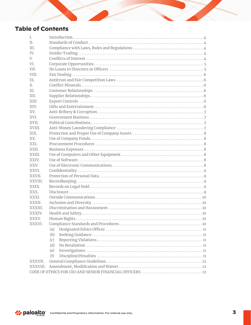# **Table of Contents**

| I.          |     |  |
|-------------|-----|--|
| II.         |     |  |
| TH.         |     |  |
| TV.         |     |  |
| V.          |     |  |
| VI.         |     |  |
| VII.        |     |  |
| VIII.       |     |  |
| IX.         |     |  |
| $X_{\cdot}$ |     |  |
| XI.         |     |  |
| XII.        |     |  |
| XIII.       |     |  |
| XIV.        |     |  |
| XV.         |     |  |
| XVI.        |     |  |
| XVII.       |     |  |
| XVIII.      |     |  |
| XIX.        |     |  |
| XX.         |     |  |
| XXI.        |     |  |
| XXII.       |     |  |
| XXIII.      |     |  |
| XXIV.       |     |  |
| XXV.        |     |  |
| XXVI.       |     |  |
| XXVII.      |     |  |
| XXVIII.     |     |  |
| XXIX.       |     |  |
| XXX.        |     |  |
| XXXI.       |     |  |
| XXXII.      |     |  |
| XXXIII.     |     |  |
| XXXIV.      |     |  |
| XXXV.       |     |  |
| XXXVI.      |     |  |
|             | (a) |  |
|             | (b) |  |
|             | (c) |  |
|             | (d) |  |
|             | (e) |  |
|             | (f) |  |
| XXXVII.     |     |  |
| XXXVIII.    |     |  |
|             |     |  |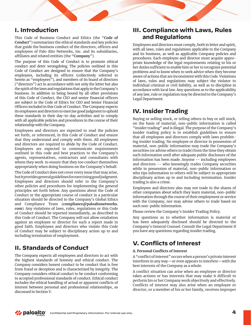#### **I. Introduction**

This Code of Business Conduct and Ethics (the "**Code of Conduct**") summarizes the ethical standards and key policies that guide the business conduct of the directors, officers and employees of Palo Alto Networks, Inc. and its subsidiaries, affiliates and related entities (the "**Company**").

The purpose of this Code of Conduct is to promote ethical conduct and deter wrongdoing. The policies outlined in this Code of Conduct are designed to ensure that the Company's employees, including its officers (collectively referred to herein as "employees"), and members of its board of directors ("directors") act in accordance with not only the letter but also the spirit of the laws and regulations that apply to the Company's business. In addition to being bound by all other provisions of this Code of Conduct, the CEO and senior financial officers are subject to the Code of Ethics for CEO and Senior Financial Officers included in this Code of Conduct. The Company expects its employees and directors to exercise good judgment to uphold these standards in their day-to-day activities and to comply with all applicable policies and procedures in the course of their relationship with the Company.

Employees and directors are expected to read the policies set forth, or referenced, in this Code of Conduct and ensure that they understand and comply with them. All employees and directors are required to abide by the Code of Conduct. Employees are expected to communicate requirements outlined in this code and best practices to the Company's agents, representatives, contractors and consultants with whom they work to ensure that they too conduct themselves appropriately when doing business on the Company's behalf.

The Code of Conduct does not cover every issue that may arise, but it provides general guidelines for exercising good judgment. Employees and directors should refer to the Company's other policies and procedures for implementing the general principles set forth below. Any questions about the Code of Conduct or the appropriate course of conduct in a particular situation should be directed to the Company's Global Ethics and Compliance Team (**[compliance@paloaltonetworks.](mailto:compliance@-paloaltonetworks.com) [com](mailto:compliance@-paloaltonetworks.com)**). Any violations of laws, rules, regulations or this Code of Conduct should be reported immediately, as described in this Code of Conduct. The Company will not allow retaliation against an employee or director for such a report made in good faith. Employees and directors who violate this Code of Conduct may be subject to disciplinary action up to and including termination of employment.

### **II. Standards of Conduct**

The Company expects all employees and directors to act with the highest standards of honesty and ethical conduct. The Company considers honest conduct to be conduct that is free from fraud or deception and is characterized by integrity. The Company considers ethical conduct to be conduct conforming to accepted professional standards of conduct. Ethical conduct includes the ethical handling of actual or apparent conflicts of interest between personal and professional relationships, as discussed in Section V.

#### **III. Compliance with Laws, Rules and Regulations**

Employees and directors must comply, both in letter and spirit, with all laws, rules and regulations applicable to the Company and its business, as well as applicable Company policies and procedures. Each employee and director must acquire appropriate knowledge of the legal requirements relating to his or her duties sufficient to enable him or her to recognize potential problems and to know when to seek advice when they become aware of actions that are inconsistent with this Code. Violations of laws, rules and regulations may subject the violator to individual criminal or civil liability, as well as to discipline in accordance with local law. Any questions as to the applicability of any law, rule or regulation may be directed to the Company's Legal Department.

# **IV. Insider Trading**

Buying or selling stock, or telling others to buy or sell stock, on the basis of material, non-public information is called "insider trading" and is illegal. The purpose of the Company's insider trading policy is to establish guidelines to ensure that all employees and directors comply with laws prohibiting insider trading. No employee or director in possession of material, non-public information may trade the Company's securities (or advise others to trade) from the time they obtain such information until after adequate public disclosure of the information has been made. Anyone -- including employees and directors -- who knowingly trades Company securities while in possession of material, non-public information or who tips information to others will be subject to appropriate disciplinary action up to and including termination. Insider trading is also a crime.

Employees and directors also may not trade in the shares of other companies about which they learn material, non-public information through the course of their employment or service with the Company, nor may advise others to trade based on such non-public information.

Please review the Company's Insider Trading Policy.

Any questions as to whether information is material or has been adequately disclosed should be directed to the Company's General Counsel. Consult the Legal Department if you have any questions regarding insider trading.

# **V. Conflicts of Interest**

#### **A. Personal Conflicts of Interest**

A "conflict of interest" occurs when a person's private interest interferes in any way—or even appears to interfere—with the best interests of the Company as a whole.

A conflict situation can arise when an employee or director takes actions or has interests that may make it difficult to perform his or her Company work objectively and effectively. Conflicts of interest may also arise when an employee or director, or a member of his or her family, receives improper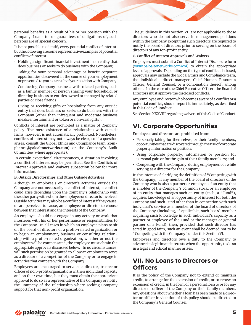personal benefits as a result of his or her position with the Company. Loans to, or guarantees of obligations of, such persons are of special concern.

It is not possible to identify every potential conflict of interest, but the following are some representative examples of potential conflicts of interest:

- Holding a significant financial investment in an entity that does business or seeks to do business with the Company;
- Taking for your personal advantage or benefit corporate opportunities discovered in the course of your employment or presented to you as a result of your position with Company;
- Conducting Company business with related parties, such as a family member or person sharing your household, or directing business to entities owned or managed by related parties or close friends;
- Giving or receiving gifts or hospitality from any outside entity that does business or seeks to do business with the Company (other than infrequent and moderate business meals/entertainment or token or non-cash gifts);

Conflicts of interest are prohibited as a matter of Company policy. The mere existence of a relationship with outside firms, however, is not automatically prohibited. Nonetheless, conflicts of interest may not always be clear, so if a question arises, consult the Global Ethics and Compliance team (**[com](mailto:compliance@paloaltonetworks.com)[pliance@paloaltonetworks.com](mailto:compliance@paloaltonetworks.com)**) or the Company's Audit Committee (where appropriate).

In certain exceptional circumstances, a situation involving a conflict of interest may be permitted. See the Conflicts of Interest Approvals and Waivers subsection below for more information.

#### **B. Outside Directorships and Other Outside Activities**

Although an employee's or director's activities outside the Company are not necessarily a conflict of interest, a conflict could arise depending upon the Company's relationship with the other party with whom the employee or director is involved. Outside activities may also be a conflict of interest if they cause, or are perceived to cause, an employee or director to choose between that interest and the interests of the Company.

An employee should not engage in any activity or work that interferes with his or her performance or responsibilities to the Company. In all cases in which an employee plans to sit on the board of directors of a profit-related organization or to begin an employment, business or consulting relationship with a profit-related organization, whether or not the employee will be compensated, the employee must obtain the appropriate approvals discussed below. In no circumstances, will such permission be granted to allow an employee to serve as a director of a competitor of the Company or to engage in activities that compete with the Company.

Employees are encouraged to serve as a director, trustee or officer of non-profit organizations in their individual capacity and on their own time, but they must obtain the appropriate approval to do so as a representative of the Company or notify the Company of the relationship where seeking Company support for that non-profit organization.

The guidelines in this Section VII are not applicable to those directors who do not also serve in management positions within the Company except that such directors are required to notify the board of directors prior to serving on the board of directors of any for-profit entity.

#### **C. Conflict of Interest Approvals and Waivers**

Employees must submit a Conflict of Interest Disclosure form [\(www.paloaltonetworks.com/coi](http://www.paloaltonetworks.com/coi)) to obtain the appropriate level of approvals. Depending on the type of conflict disclosed, approvals may include the Global Ethics and Compliance team, the individual's direct manager, Chief Human Resources Officer, General Counsel, or a combination thereof, among others. In the case of the Chief Executive Officer, the Board of Directors must approve the disclosed conflicts.

Any employee or director who becomes aware of a conflict or a potential conflict, should report it immediately, as described in this Code of Conduct.

See Section XXXVIII regarding waivers of this Code of Conduct.

#### **VI. Corporate Opportunities**

Employees and directors are prohibited from:

- Personally taking for themselves, or their family members, opportunities that are discovered through the use of corporate property, information or position;
- Using corporate property, information or position for personal gain or for the gain of their family members; and
- Competing with the Company, during employment or while serving as a director for the Company.

In the interest of clarifying the definition of "Competing with the Company," if any member of the board of directors of the Company who is also a partner or employee of an entity that is a holder of the Company's common stock, or an employee of an entity that manages such an entity (each, a "Fund"), acquires knowledge of an opportunity of interest for both the Company and such Fund other than in connection with such individual's service as a member of the board of directors of the Company (including, if applicable, such board member acquiring such knowledge in such individual's capacity as a partner or employee of the Fund or the manager or general partner of a Fund), then, provided that such director has acted in good faith, such an event shall be deemed not to be "Competing with the Company" under this Section VI.

Employees and directors owe a duty to the Company to advance its legitimate interests when the opportunity to do so in a legal and ethical manner arises.

#### **VII. No Loans to Directors or Officers**

It is the policy of the Company not to extend or maintain credit, to arrange for the extension of credit, or to renew an extension of credit, in the form of a personal loan to or for any director or officer of the Company or their family members. Any questions about whether a loan has been made to a director or officer in violation of this policy should be directed to the Company's General Counsel.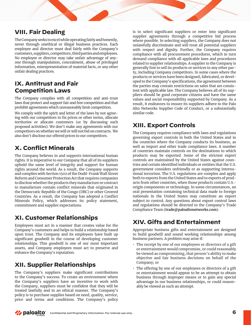### **VIII. Fair Dealing**

The Company seeks to excel while operating fairly and honestly, never through unethical or illegal business practices. Each employee and director must deal fairly with the Company's customers, suppliers, competitors, third parties and employees. No employee or director may take unfair advantage of anyone through manipulation, concealment, abuse of privileged information, misrepresentation of material facts, or any other unfair dealing practices.

#### **IX. Antitrust and Fair Competition Laws**

The Company complies with all competition and anti-trust laws that protect and support fair and free competition and that prohibit agreements which unreasonably limit competition.

We comply with the spirit and letter of the laws by not agreeing with our competitors to fix prices or other terms, allocate territories or allocate customers (or by discussing such proposed activities). We don't make any agreements with our competitors on whether we will or will not bid on contracts. We also don't disclose our offered prices to our competitors.

# **X. Conflict Minerals**

The Company believes in and supports international human rights. It is imperative to our Company that all of its suppliers uphold the same level of integrity and support for human rights around the world. As a result, the Company supports and complies with Section 1502 of the Dodd-Frank Wall Street Reform and Consumer Protection Act that requires companies to disclose whether the products they manufacture or contract to manufacture contain conflict minerals that originated in the Democratic Republic of the Congo (DRC) or other Covered Countries. As a result, the Company has adopted a Conflict Minerals Policy, which addresses its policy statement, commitment and supplier expectations.

# **XI. Customer Relationships**

Employees must act in a manner that creates value for the Company's customers and helps to build a relationship based upon trust. The Company and its employees have built up significant goodwill in the course of developing customer relationships. This goodwill is one of our most important assets, and Company employees must act to preserve and enhance the Company's reputation.

# **XII. Supplier Relationships**

The Company's suppliers make significant contributions to the Company's success. To create an environment where the Company's suppliers have an incentive to work with the Company, suppliers must be confident that they will be treated lawfully and in an ethical manner. The Company's policy is to purchase supplies based on need, quality, service, price and terms and conditions. The Company's policy is to select significant suppliers or enter into significant supplier agreements through a competitive bid process where possible. In selecting suppliers, the Company does not unlawfully discriminate and will treat all potential suppliers with respect and dignity. Further, the Company requires compliance with all procurement procedures, which in turn demand compliance with all applicable laws and procedures related to supplier relationships. A supplier to the Company is generally free to sell its products or services to any other party, including Company competitors. In some cases where the products or services have been designed, fabricated, or developed to the Company's specifications, the agreement between the parties may contain restrictions on sales that are consistent with applicable law. The Company believes all of its suppliers should be good corporate citizens and have the same values and social responsibility supported by Company. As a result, it endeavors to ensure its suppliers adhere to the Palo Alto Networks Supplier Code of Conduct, or a substantially similar code.

### **XIII. Export Controls**

The Company requires compliance with laws and regulations governing export controls in both the United States and in the countries where the Company conducts its business, as well as import and other trade compliance laws. A number of countries maintain controls on the destinations to which products may be exported. Some of the strictest export controls are maintained by the United States against countries and certain identified individuals or entities that the U.S. government considers unfriendly or as supporting international terrorism. The U.S. regulations are complex and apply both to exports from the United States and to exports of products from other countries, when those products contain U.S. origin components or technology. In some circumstances, an oral presentation containing technical data made to foreign nationals in the United States may constitute an export subject to control. Any questions about export control laws and regulations should be directed to the Company's Trade Compliance Team (**trade@paloaltonetworks.com**).

# **XIV. Gifts and Entertainment**

Appropriate business gifts and entertainment are designed to build goodwill and sound working relationships among business partners. A problem may arise if:

- The receipt by one of our employees or directors of a gift or entertainment would compromise, or could reasonably be viewed as compromising, that person's ability to make objective and fair business decisions on behalf of the Company; or
- The offering by one of our employees or directors of a gift or entertainment would appear to be an attempt to obtain business through improper means or to gain any special advantage in our business relationships, or could reasonably be viewed as such an attempt.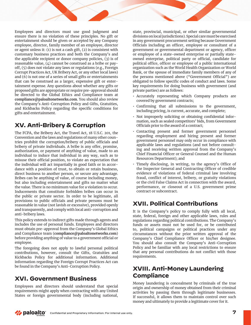Employees and directors must use good judgment and ensure there is no violation of these principles. No gift or entertainment should be given or accepted by any Company employee, director, family member of an employee, director or agent unless it: (1) is not a cash gift, (2) is consistent with customary business practices and both the Company's and the applicable recipient or donor company policies, (3) is of reasonable value, (4) cannot be construed as a bribe or payoff, (5) does not violate any laws or regulations (e.g., Foreign Corrupt Practices Act, UK Bribery Act, or any other local laws) and (6) is not one of a series of small gifts or entertainments that can be construed as a larger, expensive gift or entertainment expense. Any questions about whether any gifts or proposed gifts are appropriate or require pre-approval should be directed to the Global Ethics and Compliance team at **[compliance@paloaltonetworks.com](mailto:compliance@paloaltonetworks.com)**. You should also review the Company's Anti-Corruption Policy and Gifts, Gratuities, and Kickbacks Policy regarding the specific conditions for gifts and entertainment.

# **XV. Anti-Bribery & Corruption**

The FCPA, the Bribery Act, the Travel Act, 18 U.S.C. 201, the Convention and the laws and regulations of many other countries prohibit the corruption/bribery of public officials and bribery of private individuals. A bribe is any offer, promise, authorization, or payment of anything of value, made to an individual to induce that individual in any way, such as to misuse their official position, to violate an expectation that the individual will act impartially in good faith or in accordance with a position of trust, to obtain or retain business, direct business to another person, or secure any advantage. Bribes can be anything of value, of course including money, but also including entertainment and gifts no matter what the value. There is no minimum value for a violation to occur. Inducements that constitute forbidden bribes can occur in the public or private sector. In order to be legitimate, all provisions to public officials and private persons must be reasonable in value (not lavish or excessive), provided openly and transparently, and comply with local anti-corruption and anti-bribery laws.

This policy extends to indirect gifts made through agents and includes the use of personal funds. Employees and directors must obtain pre-approval from the Company's Global Ethics and Compliance team (**[compliance@paloaltonetworks.com](mailto:compliance@paloaltonetworks.com)**) before providing anything of value to a government official or employee.

The foregoing does not apply to lawful personal political contributions, however, consult the Gifts, Gratuities and Kickbacks Policy for additional information. Additional information regarding the Foreign Corrupt Practices Act can be found in the Company's Anti-Corruption Policy.

### **XVI. Government Business**

Employees and directors should understand that special requirements might apply when contracting with any United States or foreign governmental body (including national, state, provincial, municipal, or other similar governmental divisions on local jurisdictions). Special care must be exercised in any government procurement setting because Government Officials including an officer, employee or consultant of a government or governmental department or agency, officer or employee of a state-owned enterprise or partially stateowned enterprise, political party or official, candidate for political office, officer or employee of a public international organization such as the World Health Organization or World Bank, or the spouse of immediate family members of any of the persons mentioned above ("Government Official") are obligated to follow specific codes of conduct and laws. Some key requirements for doing business with government (and private parties) are as follows:

- Accurately representing which Company products are covered by government contracts;
- Confirming that all submissions to the government, including pricing, is current, accurate, and complete;
- Not improperly soliciting or obtaining confidential information, such as sealed competitors' bids, from Government Officials prior to the award of a contract;
- Contacting present and former government personnel regarding employment and hiring present and former government personnel may only occur in compliance with applicable laws and regulations (and not before consulting and receiving written approval from the Company's Chief Financial Officer or General Counsel and the Human Resources Department); and
- Timely disclosing, in writing, to the agency's Office of the Inspector General and Contracting Officer of credible evidence of violations of federal criminal law involving fraud, conflict of interest, bribery, or gratuity violations or the civil False Claims Act in connection with the award, performance, or closeout of a U.S. government prime contract or subcontract.

# **XVII. Political Contributions**

It is the Company's policy to comply fully with all local, state, federal, foreign and other applicable laws, rules and regulations regarding political contributions. The Company's funds or assets must not be used for, or be contributed to, political campaigns or political practices under any circumstances without the prior written approval of the Company's Chief Compliance Officer or his/her designee. You should also consult the Company's Anti-Corruption Policy and be familiar with any local restrictions to ensure that any personal contributions do not conflict with those requirements.

### **XVIII. Anti-Money Laundering Compliance**

Money laundering is concealment by criminals of the true origin and ownership of money obtained from their criminal activities by passing them through legitimate businesses. If successful, it allows them to maintain control over such money and ultimately to provide a legitimate cover for it.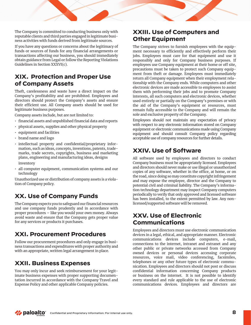The Company is committed to conducting business only with reputable clients and third parties engaged in legitimate business activities with funds derived from legitimate sources.

If you have any questions or concerns about the legitimacy of funds or sources of funds for any financial arrangements or transactions affecting our business, you should immediately obtain guidance from Legal or follow the Reporting Violations Guidelines in Section XXXVI(c).

### **XIX. Protection and Proper Use of Company Assets**

Theft, carelessness and waste have a direct impact on the Company's profitability and are prohibited. Employees and directors should protect the Company's assets and ensure their efficient use. All Company assets should be used for legitimate business purposes.

Company assets include, but are not limited to:

- financial assets and unpublished financial data and reports
- physical assets, supplies and other physical property
- equipment and facilities
- brand name and logo
- intellectual property and confidential/proprietary information, such as ideas, concepts, inventions, patents, trademarks, trade secrets, copyrights, business and marketing plans, engineering and manufacturing ideas, designs inventory
- all computer equipment, communication systems and our technology

Unauthorized use or distribution of company assets is a violation of Company policy.

### **XX. Use of Company Funds**

The Company expects you to safeguard our financial resources and use company funds prudently and in accordance with proper procedures – like you would your own money. Always avoid waste and ensure that the Company gets proper value for any services or products it purchases.

### **XXI. Procurement Procedures**

Follow our procurement procedures and only engage in business transactions and expenditures with proper authority and with an appropriate, written legal arrangement in place.

### **XXII. Business Expenses**

You may only incur and seek reimbursement for your legitimate business expenses with proper supporting documentation incurred in accordance with the Company Travel and Expense Policy and other applicable Company policies.

### **XXIII. Use of Computers and Other Equipment**

The Company strives to furnish employees with the equipment necessary to efficiently and effectively perform their jobs. Employees must care for that equipment and use it responsibly and only for Company business purposes. If employees use Company equipment at their home or off site, precautions must be taken to protect such Company equipment from theft or damage. Employees must immediately return all Company equipment when their employment relationship with the Company ends. While computers and other electronic devices are made accessible to employees to assist them with performing their jobs and to promote Company interests, all such computers and electronic devices, whether used entirely or partially on the Company's premises or with the aid of the Company's equipment or resources, must remain fully accessible to the Company and will remain the sole and exclusive property of the Company.

Employees should not maintain any expectation of privacy with respect to any electronic information stored on Company equipment or electronic communications made using Company equipment and should consult Company policy regarding acceptable use of company resources for further details.

### **XXIV. Use of Software**

All software used by employees and directors to conduct Company business must be appropriately licensed. Employees and directors should never make or use illegal or unauthorized copies of any software, whether in the office, at home, or on the road, since doing so may constitute copyright infringement and may expose the employee, director and the Company to potential civil and criminal liability. The Company's information technology department may inspect Company computers periodically to verify that only approved and licensed software has been installed, to the extent permitted by law. Any nonlicensed/supported software will be removed.

### **XXV. Use of Electronic Communications**

Employees and directors must use electronic communication devices in a legal, ethical, and appropriate manner. Electronic communications devices include computers, e-mail, connections to the internet, intranet and extranet and any other public or private networks accessed from Company owned devices or personal devices accessing corporate resources, voice mail, video conferencing, facsimiles, telephones or any other future types of electronic communication. Employees and directors should not post or discuss confidential information concerning Company products or business on the internet. It is not possible to identify every standard and rule applicable to the use of electronic communications devices. Employees and directors are

**Z** paloalto Confidential and Proprietary Information: For internal use only. **8**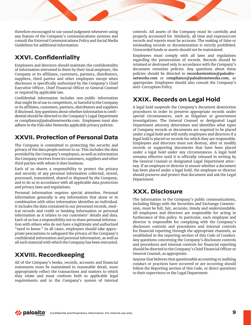therefore encouraged to use sound judgment whenever using any feature of the Company's communications systems and consult the External Communications Policy and Social Media Guidelines for additional information.

# **XXVI. Confidentiality**

Employees and directors should maintain the confidentiality of information entrusted to them by their local employer, the Company or its affiliates, customers, partners, distributors, suppliers, third parties and other employees except when disclosure is specifically authorized by the Company's Chief Executive Officer, Chief Financial Officer or General Counsel or required by applicable law.

Confidential information includes non-public information that might be of use to competitors, or harmful to the Company or its affiliates, customers, partners, distributors and suppliers if disclosed. Any questions about whether information is confidential should be directed to the Company's Legal Department or compliance@paloaltonetworks.com. Employees must also adhere to the Palo Alto Networks applicable privacy policies.

# **XXVII. Protection of Personal Data**

The Company is committed to protecting the security and privacy of the data people entrust to us. This includes the data provided by the Company's employees, as well as information the Company receives from its customers, suppliers and other third parties with whom it does business.

Each of us shares a responsibility to protect the privacy and security of any personal information collected, stored, processed, transmitted, shared or disposed by the Company, and to do so in accordance with all applicable data protection and privacy laws and regulations.

Personal information requires special attention. Personal information generally is any information that alone or in combination with other information identifies an individual. It includes the data contained in our personnel records, medical records and credit or banking information or personal information as it relates to our customers' details and data. Each of us has a responsibility not to share personal information with others who do not have a legitimate and authorized "need to know." In all cases, employees should take appropriate precautions to safeguard the privacy of the Company's confidential information and personal information, as well as all such material with which the Company has been entrusted.

# **XXVIII. Recordkeeping**

All of the Company's books, records, accounts and financial statements must be maintained in reasonable detail, must appropriately reflect the transactions and matters to which they relate and must conform both to applicable legal requirements and to the Company's system of internal controls. All assets of the Company must be carefully and properly accounted for. Similarly, all time and expense/cost records and reports must be accurate. The making of false or misleading records or documentation is strictly prohibited. Unrecorded funds or assets should not be maintained.

Employees must comply with all laws and regulations regarding the preservation of records. Records should be retained or destroyed only in accordance with the Company's document retention policies. Any questions about these policies should be directed to **recordsretention@paloaltonetworks.com** or **compliance@paloaltonetworks.com**, as appropriate. Employees should also consult the Company's Anti-Corruption Policy.

# **XXIX. Records on Legal Hold**

A legal hold suspends the Company's document destruction procedures in order to preserve appropriate records under special circumstances, such as litigation or government investigations. The General Counsel or designated Legal Department attorney determines and identifies what types of Company records or documents are required to be placed under a legal hold and will notify employees and directors if a legal hold is placed on records for which they are responsible. Employees and directors must not destroy, alter or modify records or supporting documents that have been placed under a legal hold under any circumstances. A legal hold remains effective until it is officially released in writing by the General Counsel or designated Legal Department attorney. If an employee or director is unsure whether a document has been placed under a legal hold, the employee or director should preserve and protect that document and ask the Legal Department.

# **XXX. Disclosure**

The information in the Company's public communications, including filings with the Securities and Exchange Commission, must be full, fair, accurate, timely and understandable. All employees and directors are responsible for acting in furtherance of this policy. In particular, each employee and director is responsible for complying with the Company's disclosure controls and procedures and internal controls for financial reporting through the appropriate channels, as established in the reporting section of this Code of Conduct. Any questions concerning the Company's disclosure controls and procedures and internal controls for financial reporting should be directed to the Company's Chief Financial Officer or General Counsel, as appropriate.

Anyone that believes that questionable accounting or auditing conduct or practices have occurred or are occurring should follow the Reporting section of this Code, or direct questions to their supervisors or the Legal Department.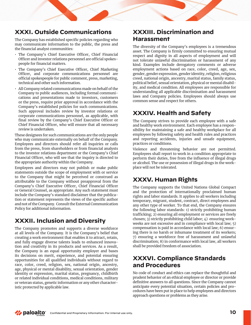### **XXXI. Outside Communications**

The Company has established specific policies regarding who may communicate information to the public, the press and the financial analyst communities:

- The Company's Chief Executive Officer, Chief Financial Officer and investor relations personnel are official spokespeople for financial matters.
- The Company's Chief Executive Officer, Chief Marketing Officer, and corporate communications personnel are official spokespeople for public comment, press, marketing, technical and other such information.
- All Company related communications made on behalf of the Company to public audiences, including formal communications and presentations made to investors, customers or the press, require prior approval in accordance with the Company's established policies for such communications. Such approval includes review by investor relations or corporate communications personnel, as applicable, with final review by the Company's Chief Executive Officer or Chief Financial Officer, who will ensure that all necessary review is undertaken.

These designees for such communications are the only people who may communicate externally on behalf of the Company. Employees and directors should refer all inquiries or calls from the press, from shareholders or from financial analysts to the investor relations department or the Company's Chief Financial Officer, who will see that the inquiry is directed to the appropriate authority within the Company.

Employees and directors may not publish or make public statements outside the scope of employment with or service to the Company that might be perceived or construed as attributable to the Company without preapproval from the Company's Chief Executive Officer, Chief Financial Officer or General Counsel, as appropriate. Any such statement must include the Company's standard disclaimer that the publication or statement represents the views of the specific author and not of the Company. Consult the External Communication Policy for additional information.

# **XXXII. Inclusion and Diversity**

The Company promotes and supports a diverse workforce at all levels of the Company. It is the Company's belief that creating a work environment that enables it to attract, retain, and fully engage diverse talents leads to enhanced innovation and creativity in its products and services. As a result, the Company is an equal opportunity employer and bases its decisions on merit, experience, and potential ensuring opportunities for all qualified individuals without regard to race, color, creed, religion, sex, national origin, ancestry, age, physical or mental disability, sexual orientation, gender identity or expression, marital status, pregnancy, childbirth or related individual conditions, medical conditions, military or veteran status, genetic information or any other characteristic protected by applicable law.

#### **XXXIII. Discrimination and Harassment**

The diversity of the Company's employees is a tremendous asset. The Company is firmly committed to ensuring mutual respect and dignity in all aspects of employment and will not tolerate unlawful discrimination or harassment of any kind. Examples include derogatory comments or adverse employment actions based on race, color, creed, age, sex, gender, gender expression, gender identity, religion, religious creed, national origin, ancestry, marital status, family status, political belief, sexual orientation, physical or mental disability, and medical condition. All employees are responsible for understanding all applicable discrimination and harassment laws and Company policies. Employees should always use common sense and respect for others.

# **XXXIV. Health and Safety**

The Company strives to provide each employee with a safe and healthy work environment. Each employee has a responsibility for maintaining a safe and healthy workplace for all employees by following safety and health rules and practices and reporting accidents, injuries and unsafe equipment, practices or conditions.

Violence and threatening behavior are not permitted. Employees shall report to work in a condition appropriate to perform their duties, free from the influence of illegal drugs or alcohol. The use or possession of illegal drugs in the workplace will not be tolerated.

### **XXXV. Human Rights**

The Company supports the United Nations Global Compact and the protection of internationally proclaimed human rights and labor standards. It applies to all workers including temporary, migrant, student, contract, direct employees and any other type of worker. To that end, the Company ensures the following labor standards: 1) strictly prohibiting human trafficking; 2) ensuring all employment or services are freely chosen; 3) strictly prohibiting child labor; 4) ensuring workweeks are not excessive and in compliance with local law; 5) compensation is paid in accordance with local law; 6) ensuring there is no harsh or inhumane treatment of its workers; 7) ensuring a workforce free of harassment and unlawful discrimination; 8) in conformance with local law, all workers shall be provided freedom of association.

### **XXXVI. Compliance Standards and Procedures**

No code of conduct and ethics can replace the thoughtful and prudent behavior of an ethical employee or director or provide definitive answers to all questions. Since the Company cannot anticipate every potential situation, certain policies and procedures have been put in place to help employees and directors approach questions or problems as they arise.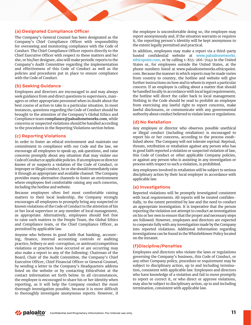#### **(a) Designated Compliance Officer**

The Company's General Counsel has been designated as the Company's Chief Compliance Officer with responsibility for overseeing and monitoring compliance with the Code of Conduct. The Chief Compliance Officer reports directly to the Chief Executive Officer with respect to these matters and he/ she, or his/her designee, also will make periodic reports to the Company's Audit Committee regarding the implementation and effectiveness of this Code of Conduct as well as the policies and procedures put in place to ensure compliance with the Code of Conduct.

#### **(b) Seeking Guidance**

Employees and directors are encouraged to and may always seek guidance from and direct questions to supervisors, managers or other appropriate personnel when in doubt about the best course of action to take in a particular situation. In most instances, questions regarding the Code of Conduct should be brought to the attention of the Company's Global Ethics and Compliance team **[compliance@paloaltonetworks.com](mailto:compliance@paloaltonetworks.com)**, while concerns or suspected violations should be handled according to the procedures in the Reporting Violations section below.

#### **(c) Reporting Violations**

In order to foster an ethical environment and maintain our commitment to compliance with our Code and the law, we encourage all employees to speak up, ask questions, and raise concerns promptly about any situation that may violate our Code of Conduct or applicable policies. If an employee or director knows of or suspects a violation of the Code of Conduct, or improper or illegal conduct, he or she should immediately raise it through an appropriate and available channel. The Company provides many alternative channels to foster an environment where employees feel comfortable raising any such concerns, including the hotline and website.

Because employees often feel most comfortable raising matters to their local leadership, the Company strongly encourages all employees to promptly bring any suspected or known violations of the Code of Conduct to the attention of his or her local supervisor or any member of local management, as appropriate. Alternatively, employees should feel free to raise such matters to the People Team, the Global Ethics and Compliance team, or the Chief Compliance Officer, as permitted by applicable law.

Anyone who believes in good faith that banking, accounting, finance, internal accounting controls or auditing practice, bribery or anti-corruption, or antitrust/competition violations or practices have occurred or are occurring may also make a report to any of the following: Chairman of the Board, Chair of the Audit Committee, the Company's Chief Executive Officer, Chief Financial Officer or General Counsel, by sending a letter to the Company's Headquarters address listed on the website or by contacting EthicsPoint at the contact information set forth below. In all circumstances, the employee is encouraged to share his or her identity when reporting, as it will help the Company conduct the most thorough investigation possible, because it is more difficult to thoroughly investigate anonymous reports. However, if the employee is uncomfortable doing so, the employee may report anonymously and, if the situation warrants or requires it, the reporting person's identity will be kept anonymous to the extent legally permitted and practical.

In addition, employees may make a report via a third-party hosted confidential website at [www.paloaltonetworks.](http://www.paloaltonetworks.ethicspoint.com) [ethicspoint.com](http://www.paloaltonetworks.ethicspoint.com), or by calling 1-855-266-7042 in the United States or, for employees outside the United States, at the phone numbers listed at www.paloaltonetworks.ethicspoint. com. Because the manner in which reports may be made varies from country to country, the hotline and website will give further instructions on how and to whom to report a particular concern. If an employee is calling about a matter that should be handled locally in accordance with local legal requirements, the hotline will direct the caller back to local management. Nothing in the Code should be read to prohibit an employee from exercising any lawful right to report concerns, make lawful disclosures, or communicate with any governmental authority about conduct believed to violate laws or regulations.

#### **(d) No Retaliation**

Any employee or director who observes possible unethical or illegal conduct (including retaliation) is encouraged to report his or her concerns, according to the process established above. The Company will not tolerate reprisal. Reprisal, threats, retribution or retaliation against any person who has in good faith reported a violation or suspected violation of law, this Code of Conduct or other applicable Company policies, or against any person who is assisting in any investigation or process with respect to such a violation, is prohibited.

Any employees involved in retaliation will be subject to serious disciplinary action by their local employer in accordance with applicable law.

#### **(e) Investigations**

Reported violations will be promptly investigated consistent with local requirements. All reports will be treated confidentially, to the extent permitted by law and the need to conduct an appropriate investigation. It is imperative that the person reporting the violation not attempt to conduct an investigation on his or her own to ensure that the proper and necessary steps are followed. However, employees and directors are expected to cooperate fully with any investigation made by the Company into reported violations. Additional information regarding investigations can be found in the Whistleblower Policy located on the intranet.

#### **(f)Discipline/Penalties**

Employees and directors who violate the laws or regulations governing the Company's business, this Code of Conduct, or any other Company policy, procedure or requirement may be subject to disciplinary action, up to and including termination, consistent with applicable law. Employees and directors who have knowledge of a violation and fail to move promptly to report or correct it, or who direct or approve violations, may also be subject to disciplinary action, up to and including termination, consistent with applicable law.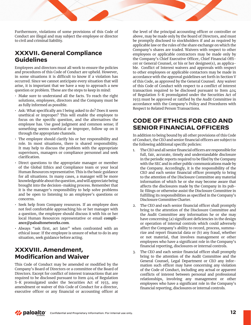Furthermore, violations of some provisions of this Code of Conduct are illegal and may subject the employee or director to civil and criminal liability.

### **XXXVII. General Compliance Guidelines**

Employees and directors must all work to ensure the policies and procedures of this Code of Conduct are upheld. However, in some situations it is difficult to know if a violation has occurred. Since we cannot anticipate every situation that will arise, it is important that we have a way to approach a new question or problem. These are the steps to keep in mind:

- Make sure to understand all the facts. To reach the right solutions, employees, directors and the Company must be as fully informed as possible.
- Ask: What specifically am I being asked to do? Does it seem unethical or improper? This will enable the employee to focus on the specific question, and the alternatives the employee has. Use good judgment and common sense; if something seems unethical or improper, follow up on it through the appropriate channels.
- The employee should clarify his or her responsibility and role. In most situations, there is shared responsibility. It may help to discuss the problem with the appropriate supervisors, managers or compliance personnel and seek clarification.
- Direct questions to the appropriate manager or member of the Global Ethics and Compliance team or your local Human Resources representative. This is the basic guidance for all situations. In many cases, a manager will be more knowledgeable about the question, and will appreciate being brought into the decision-making process. Remember that it is the manager's responsibility to help solve problems and be open to listening to an employee's questions or concerns.
- Seek help from Company resources. If an employee does not feel comfortable approaching his or her manager with a question, the employee should discuss it with his or her local Human Resources representative or email **c[ompli](mailto:Compliance@paloaltonetworks.com)[ance@paloaltonetworks.com](mailto:Compliance@paloaltonetworks.com)**.
- Always "ask first, act later" when confronted with an ethical issue: If the employee is unsure of what to do in any situation, seek guidance before acting.

# **XXXVIII. Amendment, Modification and Waiver**

This Code of Conduct may be amended or modified by the Company's Board of Directors or a committee of the Board of Directors. Except for conflict of interest transactions that are required to be disclosed pursuant to Item 404 of Regulation S-K promulgated under the Securities Act of 1933, any amendment or waiver of this Code of Conduct for a director, executive officer or any financial or accounting officer at the level of the principal accounting officer or controller or above, may be made only by the Board of Directors, and must be promptly disclosed to stockholders if and as required by applicable law or the rules of the share exchange on which the Company's shares are traded. Waivers with respect to other employees or applicable contractors may be made only by the Company's Chief Executive Officer, Chief Financial Officer or General Counsel, or his or her designee(s), as applicable. Conflict of Interest waivers and approvals with respect to other employees or applicable contactors may be made in accordance with the approval guidelines set forth in Section V of this Code, as approved by the General Counsel. Any waiver of this Code of Conduct with respect to a conflict of interest transaction required to be disclosed pursuant to Item 404 of Regulation S-K promulgated under the Securities Act of 1933 must be approved or ratified by the Audit Committee in accordance with the Company's Policy and Procedures with Respect to Related Person Transactions.

### **CODE OF ETHICS FOR CEO AND SENIOR FINANCIAL OFFICERS**

In addition to being bound by all other provisions of this Code of Conduct, the CEO and senior financial officers are subject to the following additional specific policies:

- 1. The CEO and all senior financial officers are responsible for full, fair, accurate, timely and understandable disclosure in the periodic reports required to be filed by the Company with the SEC and in other public communications made by the Company. Accordingly, it is the responsibility of the CEO and each senior financial officer promptly to bring to the attention of the Disclosure Committee any material information of which he or she may become aware that affects the disclosures made by the Company in its public filings or otherwise assist the Disclosure Committee in fulfilling its responsibilities as specified in the Company's Disclosure Committee Charter.
- 2. The CEO and each senior financial officer shall promptly bring to the attention of the Disclosure Committee and the Audit Committee any information he or she may have concerning (a) significant deficiencies in the design or operation of internal controls which could adversely affect the Company's ability to record, process, summarize and report financial data or (b) any fraud, whether or not material, that involves management or other employees who have a significant role in the Company's financial reporting, disclosures or internal controls.
- 3. The CEO and each senior financial officer shall promptly bring to the attention of the Audit Committee and the General Counsel, Legal Department or CEO any information such officer may have concerning any violation of the Code of Conduct, including any actual or apparent conflicts of interest between personal and professional relationships, involving any management or other employees who have a significant role in the Company's financial reporting, disclosures or internal controls.